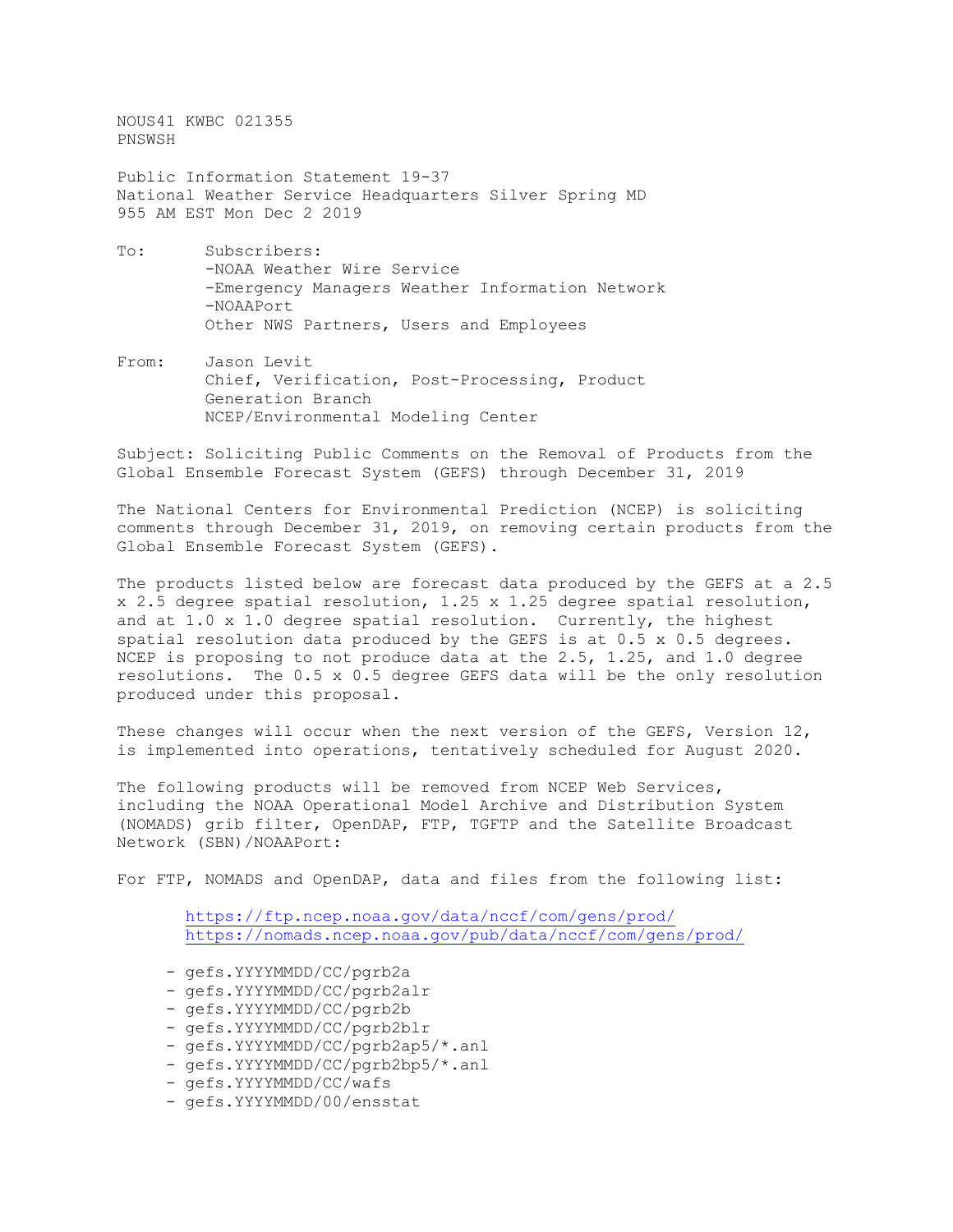NOUS41 KWBC 021355 PNSWSH

Public Information Statement 19-37 National Weather Service Headquarters Silver Spring MD 955 AM EST Mon Dec 2 2019

- To: Subscribers: -NOAA Weather Wire Service -Emergency Managers Weather Information Network -NOAAPort Other NWS Partners, Users and Employees
- From: Jason Levit Chief, Verification, Post-Processing, Product Generation Branch NCEP/Environmental Modeling Center

Subject: Soliciting Public Comments on the Removal of Products from the Global Ensemble Forecast System (GEFS) through December 31, 2019

The National Centers for Environmental Prediction (NCEP) is soliciting comments through December 31, 2019, on removing certain products from the Global Ensemble Forecast System (GEFS).

The products listed below are forecast data produced by the GEFS at a 2.5 x 2.5 degree spatial resolution, 1.25 x 1.25 degree spatial resolution, and at 1.0 x 1.0 degree spatial resolution. Currently, the highest spatial resolution data produced by the GEFS is at  $0.5 \times 0.5$  degrees. NCEP is proposing to not produce data at the 2.5, 1.25, and 1.0 degree resolutions. The 0.5 x 0.5 degree GEFS data will be the only resolution produced under this proposal.

These changes will occur when the next version of the GEFS, Version 12, is implemented into operations, tentatively scheduled for August 2020.

The following products will be removed from NCEP Web Services, including the NOAA Operational Model Archive and Distribution System (NOMADS) grib filter, OpenDAP, FTP, TGFTP and the Satellite Broadcast Network (SBN)/NOAAPort:

For FTP, NOMADS and OpenDAP, data and files from the following list:

 <https://ftp.ncep.noaa.gov/data/nccf/com/gens/prod/> <https://nomads.ncep.noaa.gov/pub/data/nccf/com/gens/prod/>

- gefs.YYYYMMDD/CC/pgrb2a
- gefs.YYYYMMDD/CC/pgrb2alr
- gefs.YYYYMMDD/CC/pgrb2b
- gefs.YYYYMMDD/CC/pgrb2blr
- gefs.YYYYMMDD/CC/pgrb2ap5/\*.anl
- gefs.YYYYMMDD/CC/pgrb2bp5/\*.anl
- gefs.YYYYMMDD/CC/wafs
- gefs.YYYYMMDD/00/ensstat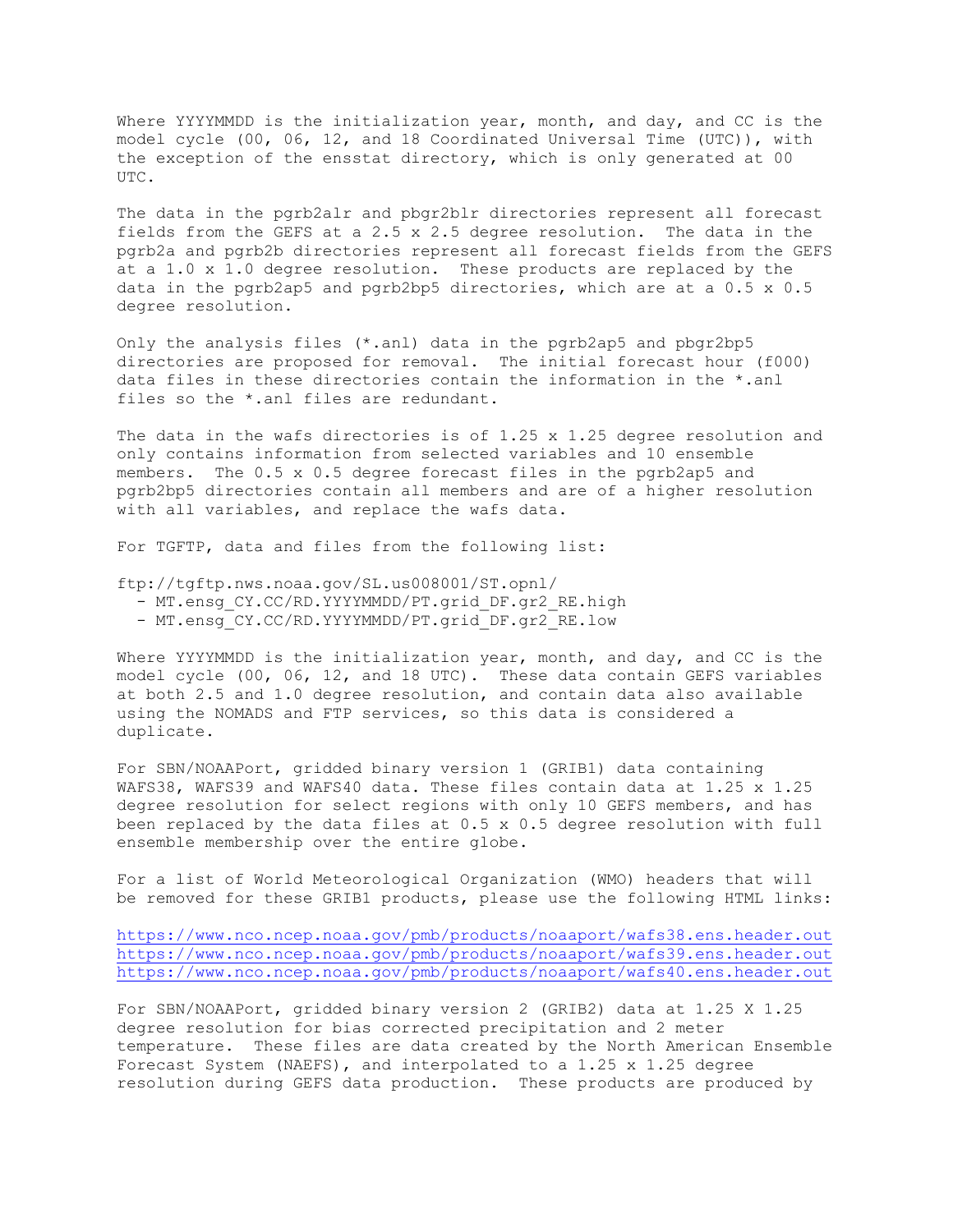Where YYYYMMDD is the initialization year, month, and day, and CC is the model cycle (00, 06, 12, and 18 Coordinated Universal Time (UTC)), with the exception of the ensstat directory, which is only generated at 00 UTC.

The data in the pgrb2alr and pbgr2blr directories represent all forecast fields from the GEFS at a 2.5 x 2.5 degree resolution. The data in the pgrb2a and pgrb2b directories represent all forecast fields from the GEFS at a 1.0 x 1.0 degree resolution. These products are replaced by the data in the pgrb2ap5 and pgrb2bp5 directories, which are at a 0.5 x 0.5 degree resolution.

Only the analysis files (\*.anl) data in the pgrb2ap5 and pbgr2bp5 directories are proposed for removal. The initial forecast hour (f000) data files in these directories contain the information in the \*.anl files so the \*.anl files are redundant.

The data in the wafs directories is of 1.25 x 1.25 degree resolution and only contains information from selected variables and 10 ensemble members. The 0.5 x 0.5 degree forecast files in the pgrb2ap5 and pgrb2bp5 directories contain all members and are of a higher resolution with all variables, and replace the wafs data.

For TGFTP, data and files from the following list:

ftp://tgftp.nws.noaa.gov/SL.us008001/ST.opnl/

- MT.ensg CY.CC/RD.YYYYMMDD/PT.grid DF.gr2 RE.high
- MT.ensg CY.CC/RD.YYYYMMDD/PT.grid DF.gr2 RE.low

Where YYYYMMDD is the initialization year, month, and day, and CC is the model cycle (00, 06, 12, and 18 UTC). These data contain GEFS variables at both 2.5 and 1.0 degree resolution, and contain data also available using the NOMADS and FTP services, so this data is considered a duplicate.

For SBN/NOAAPort, gridded binary version 1 (GRIB1) data containing WAFS38, WAFS39 and WAFS40 data. These files contain data at 1.25 x 1.25 degree resolution for select regions with only 10 GEFS members, and has been replaced by the data files at 0.5 x 0.5 degree resolution with full ensemble membership over the entire globe.

For a list of World Meteorological Organization (WMO) headers that will be removed for these GRIB1 products, please use the following HTML links:

<https://www.nco.ncep.noaa.gov/pmb/products/noaaport/wafs38.ens.header.out> <https://www.nco.ncep.noaa.gov/pmb/products/noaaport/wafs39.ens.header.out> <https://www.nco.ncep.noaa.gov/pmb/products/noaaport/wafs40.ens.header.out>

For SBN/NOAAPort, gridded binary version 2 (GRIB2) data at 1.25 X 1.25 degree resolution for bias corrected precipitation and 2 meter temperature. These files are data created by the North American Ensemble Forecast System (NAEFS), and interpolated to a 1.25 x 1.25 degree resolution during GEFS data production. These products are produced by